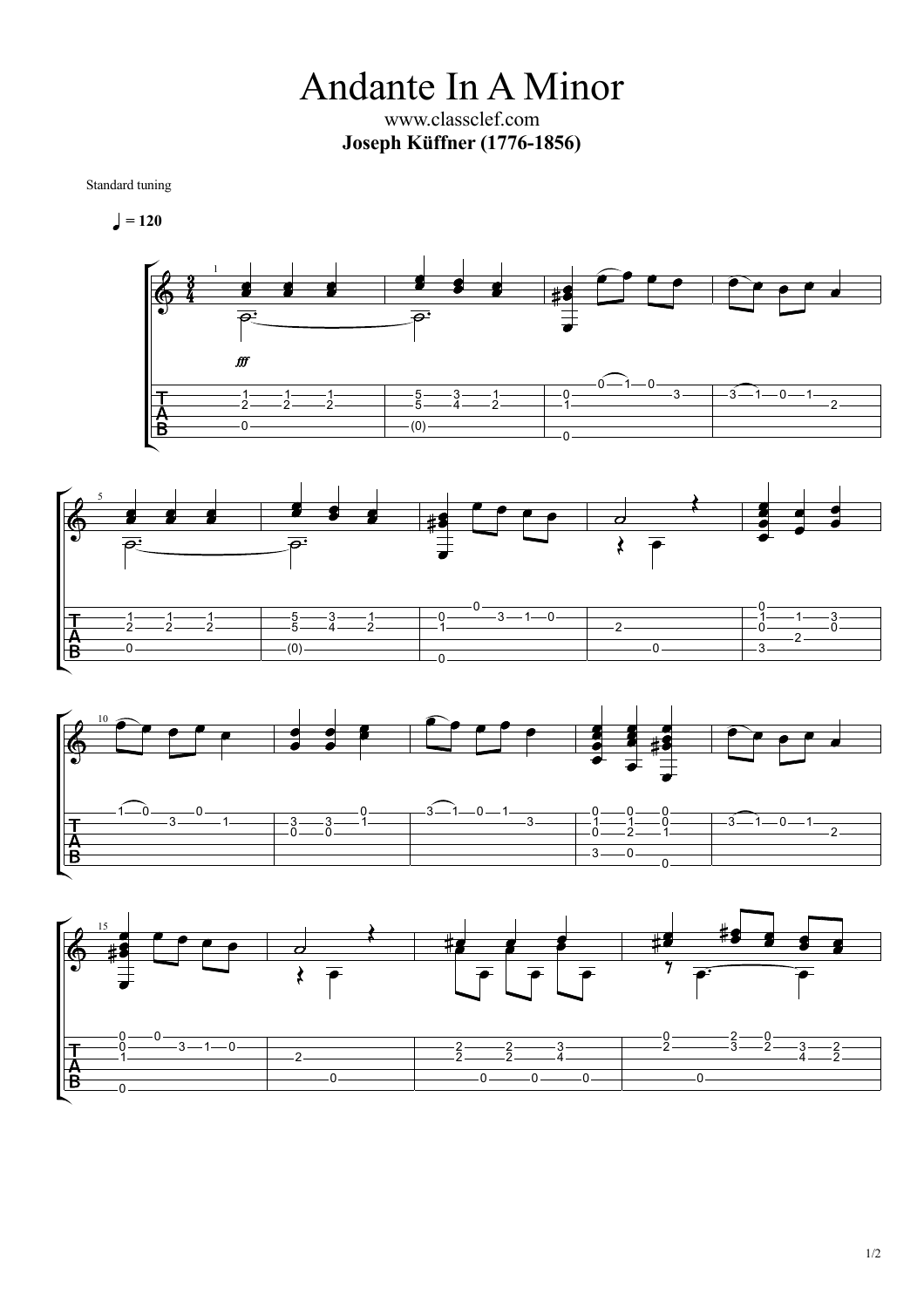Andante In A Minor www.classclef.com **Joseph Küffner(1776-1856)**

Standard tuning

$$
\bullet = 120
$$